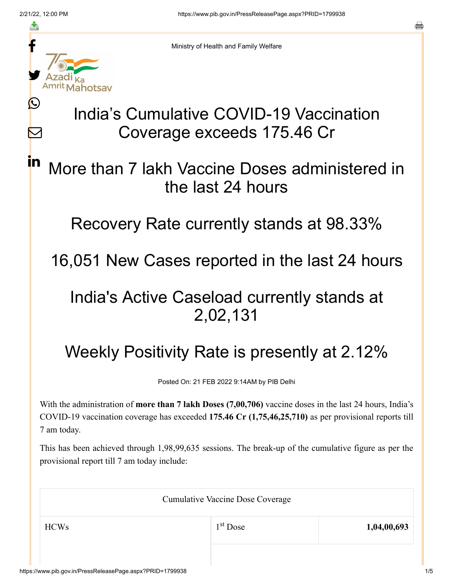≛

Ŀ

 $\bm{\nabla}$ 

in



Ministry of Health and Family Welfare

# India's Cumulative COVID-19 Vaccination Coverage exceeds 175.46 Cr

More than 7 lakh Vaccine Doses administered in the last 24 hours

Recovery Rate currently stands at 98.33%

16,051 New Cases reported in the last 24 hours

### India's Active Caseload currently stands at 2,02,131

## Weekly Positivity Rate is presently at 2.12%

Posted On: 21 FEB 2022 9:14AM by PIB Delhi

With the administration of **more than 7 lakh Doses (7,00,706)** vaccine doses in the last 24 hours, India's COVID-19 vaccination coverage has exceeded **175.46 Cr (1,75,46,25,710)** as per provisional reports till 7 am today.

This has been achieved through 1,98,99,635 sessions. The break-up of the cumulative figure as per the provisional report till 7 am today include:

| <b>Cumulative Vaccine Dose Coverage</b> |            |             |  |
|-----------------------------------------|------------|-------------|--|
| <b>HCWs</b>                             | $1st$ Dose | 1,04,00,693 |  |
|                                         |            |             |  |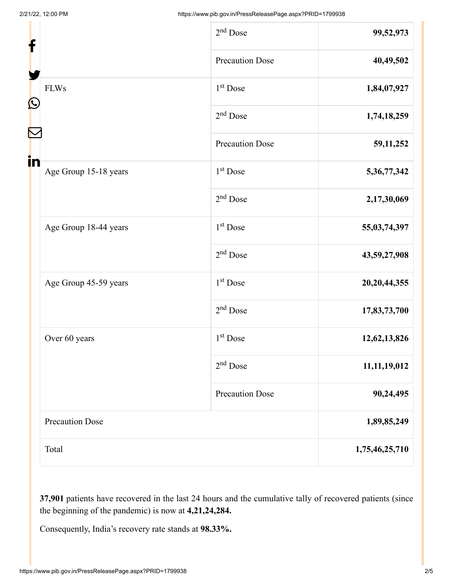| f                 |                        | $2nd$ Dose             | 99,52,973       |
|-------------------|------------------------|------------------------|-----------------|
|                   |                        | <b>Precaution Dose</b> | 40,49,502       |
| $\mathbf{\Omega}$ | <b>FLWs</b>            | $1st$ Dose             | 1,84,07,927     |
|                   |                        | $2nd$ Dose             | 1,74,18,259     |
|                   |                        | <b>Precaution Dose</b> | 59, 11, 252     |
| in                | Age Group 15-18 years  | 1 <sup>st</sup> Dose   | 5,36,77,342     |
|                   |                        | $2nd$ Dose             | 2,17,30,069     |
|                   | Age Group 18-44 years  | 1 <sup>st</sup> Dose   | 55,03,74,397    |
|                   |                        | $2nd$ Dose             | 43,59,27,908    |
|                   | Age Group 45-59 years  | 1 <sup>st</sup> Dose   | 20, 20, 44, 355 |
|                   |                        | $2nd$ Dose             | 17,83,73,700    |
|                   | Over 60 years          | $1st$ Dose             | 12,62,13,826    |
|                   |                        | $2nd$ Dose             | 11, 11, 19, 012 |
|                   |                        | <b>Precaution Dose</b> | 90,24,495       |
|                   | <b>Precaution Dose</b> |                        | 1,89,85,249     |
|                   | Total                  |                        | 1,75,46,25,710  |

**37,901** patients have recovered in the last 24 hours and the cumulative tally of recovered patients (since the beginning of the pandemic) is now at **4,21,24,284.**

Consequently, India's recovery rate stands at **98.33%.**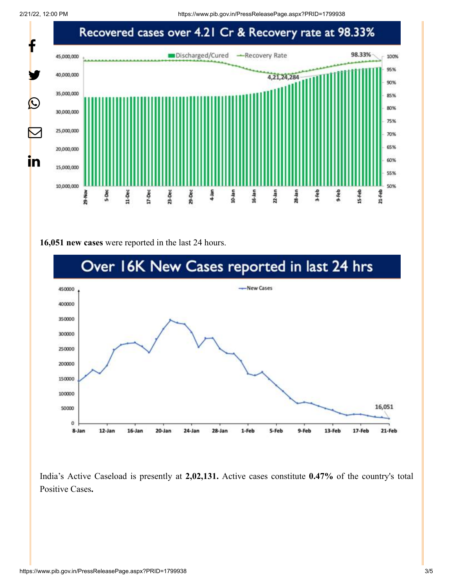2/21/22, 12:00 PM https://www.pib.gov.in/PressReleasePage.aspx?PRID=1799938



#### **16,051 new cases** were reported in the last 24 hours.



India's Active Caseload is presently at **2,02,131.** Active cases constitute **0.47%** of the country's total Positive Cases**.**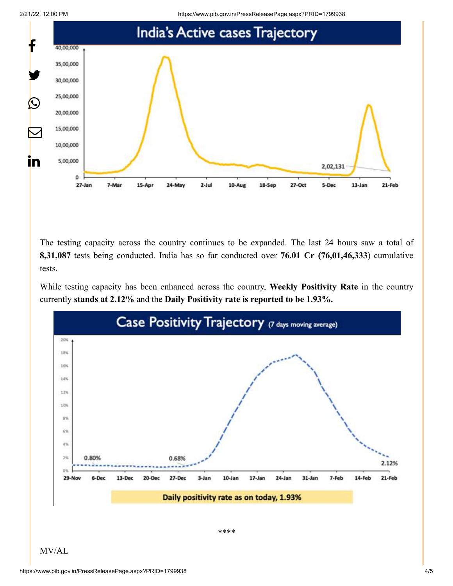



The testing capacity across the country continues to be expanded. The last 24 hours saw a total of **8,31,087** tests being conducted. India has so far conducted over **76.01 Cr (76,01,46,333**) cumulative tests.

While testing capacity has been enhanced across the country, **Weekly Positivity Rate** in the country currently **stands at 2.12%** and the **Daily Positivity rate is reported to be 1.93%.**